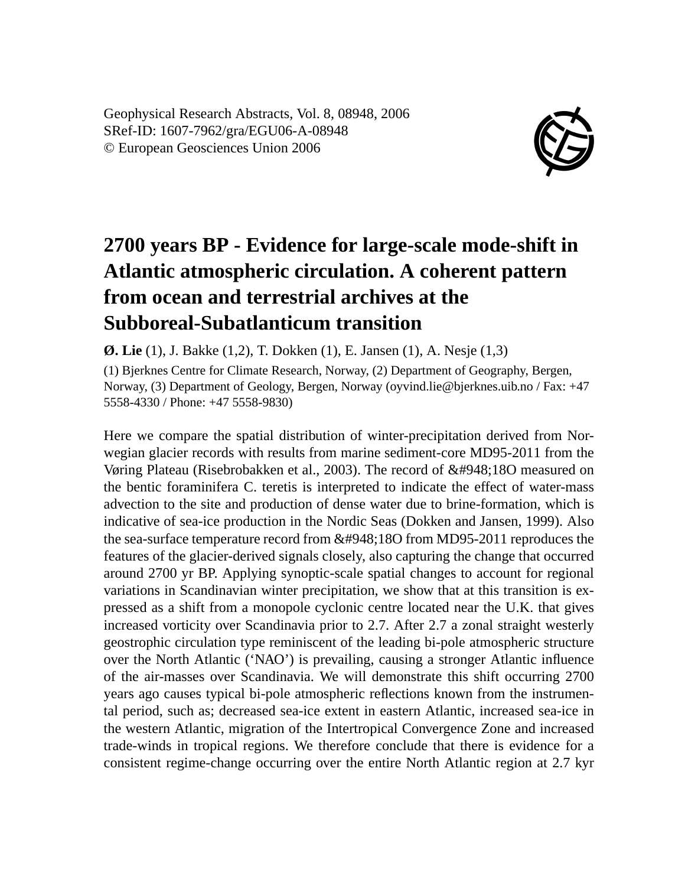Geophysical Research Abstracts, Vol. 8, 08948, 2006 SRef-ID: 1607-7962/gra/EGU06-A-08948 © European Geosciences Union 2006



## **2700 years BP - Evidence for large-scale mode-shift in Atlantic atmospheric circulation. A coherent pattern from ocean and terrestrial archives at the Subboreal-Subatlanticum transition**

**Ø. Lie** (1), J. Bakke (1,2), T. Dokken (1), E. Jansen (1), A. Nesje (1,3)

(1) Bjerknes Centre for Climate Research, Norway, (2) Department of Geography, Bergen, Norway, (3) Department of Geology, Bergen, Norway (oyvind.lie@bjerknes.uib.no / Fax: +47 5558-4330 / Phone: +47 5558-9830)

Here we compare the spatial distribution of winter-precipitation derived from Norwegian glacier records with results from marine sediment-core MD95-2011 from the Vøring Plateau (Risebrobakken et al., 2003). The record of δ18O measured on the bentic foraminifera C. teretis is interpreted to indicate the effect of water-mass advection to the site and production of dense water due to brine-formation, which is indicative of sea-ice production in the Nordic Seas (Dokken and Jansen, 1999). Also the sea-surface temperature record from  $\&\#948,180$  from MD95-2011 reproduces the features of the glacier-derived signals closely, also capturing the change that occurred around 2700 yr BP. Applying synoptic-scale spatial changes to account for regional variations in Scandinavian winter precipitation, we show that at this transition is expressed as a shift from a monopole cyclonic centre located near the U.K. that gives increased vorticity over Scandinavia prior to 2.7. After 2.7 a zonal straight westerly geostrophic circulation type reminiscent of the leading bi-pole atmospheric structure over the North Atlantic ('NAO') is prevailing, causing a stronger Atlantic influence of the air-masses over Scandinavia. We will demonstrate this shift occurring 2700 years ago causes typical bi-pole atmospheric reflections known from the instrumental period, such as; decreased sea-ice extent in eastern Atlantic, increased sea-ice in the western Atlantic, migration of the Intertropical Convergence Zone and increased trade-winds in tropical regions. We therefore conclude that there is evidence for a consistent regime-change occurring over the entire North Atlantic region at 2.7 kyr